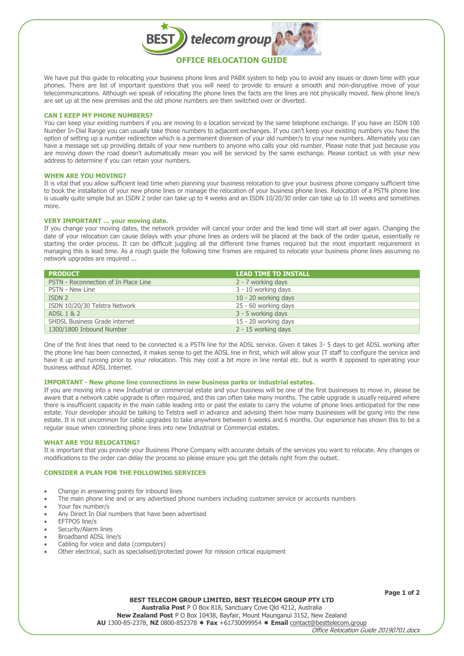

We have put this guide to relocating your business phone lines and PABX system to help you to avoid any issues or down time with your phones. There are list of important questions that you will need to provide to ensure a smooth and non-disruptive move of your telecommunications. Although we speak of relocating the phone lines the facts are the lines are not physically moved. New phone line/s are set up at the new premises and the old phone numbers are then switched over or diverted.

## **CAN I KEEP MY PHONE NUMBERS?**

You can keep your existing numbers if you are moving to a location serviced by the same telephone exchange. If you have an ISDN 100 Number In-Dial Range you can usually take those numbers to adjacent exchanges. If you can't keep your existing numbers you have the option of setting up a number redirection which is a permanent diversion of your old number/s to your new numbers. Alternately you can have a message set up providing details of your new numbers to anyone who calls your old number. Please note that just because you are moving down the road doesn't automatically mean you will be serviced by the same exchange. Please contact us with your new address to determine if you can retain your numbers.

#### **WHEN ARE YOU MOVING?**

It is vital that you allow sufficient lead time when planning your business relocation to give your business phone company sufficient time to book the installation of your new phone lines or manage the relocation of your business phone lines. Relocation of a PSTN phone line is usually quite simple but an ISDN 2 order can take up to 4 weeks and an ISDN 10/20/30 order can take up to 10 weeks and sometimes more.

## **VERY IMPORTANT … your moving date.**

If you change your moving dates, the network provider will cancel your order and the lead time will start all over again. Changing the date of your relocation can cause delays with your phone lines as orders will be placed at the back of the order queue, essentially re starting the order process. It can be difficult juggling all the different time frames required but the most important requirement in managing this is lead time. As a rough guide the following time frames are required to relocate your business phone lines assuming no network upgrades are required ...

| <b>PRODUCT</b>                       | LEAD TIME TO INSTALL . |
|--------------------------------------|------------------------|
| PSTN - Reconnection of In Place Line | 2 - 7 working days     |
| PSTN - New Line                      | 3 - 10 working days    |
| ISDN 2                               | 10 - 20 working days   |
| ISDN 10/20/30 Telstra Network        | 25 - 60 working days   |
| ADSL 1 & 2                           | 3 - 5 working days     |
| <b>SHDSL Business Grade internet</b> | 15 - 20 working days   |
| 1300/1800 Inbound Number             | 2 - 15 working days    |

One of the first lines that need to be connected is a PSTN line for the ADSL service. Given it takes 3- 5 days to get ADSL working after the phone line has been connected, it makes sense to get the ADSL line in first, which will allow your IT staff to configure the service and have it up and running prior to your relocation. This may cost a bit more in line rental etc. but is worth it opposed to operating your business without ADSL Internet.

## **IMPORTANT - New phone line connections in new business parks or industrial estates.**

If you are moving into a new Industrial or commercial estate and your business will be one of the first businesses to move in, please be aware that a network cable upgrade is often required, and this can often take many months. The cable upgrade is usually required where there is insufficient capacity in the main cable leading into or past the estate to carry the volume of phone lines anticipated for the new estate. Your developer should be talking to Telstra well in advance and advising them how many businesses will be going into the new estate. It is not uncommon for cable upgrades to take anywhere between 6 weeks and 6 months. Our experience has shown this to be a regular issue when connecting phone lines into new Industrial or Commercial estates.

## **WHAT ARE YOU RELOCATING?**

It is important that you provide your Business Phone Company with accurate details of the services you want to relocate. Any changes or modifications to the order can delay the process so please ensure you get the details right from the outset.

# **CONSIDER A PLAN FOR THE FOLLOWING SERVICES**

- Change in answering points for inbound lines
- The main phone line and or any advertised phone numbers including customer service or accounts numbers
- Your fax number/s
- Any Direct In Dial numbers that have been advertised
- EFTPOS line/s
- Security/Alarm lines
- Broadband ADSL line/s
- Cabling for voice and data (computers)
- Other electrical, such as specialised/protected power for mission critical equipment

**Page 1 of 2**

**BEST TELECOM GROUP LIMITED, BEST TELECOM GROUP PTY LTD Australia Post** P O Box 818, Sanctuary Cove Qld 4212, Australia **New Zealand Post** P O Box 10438, Bayfair, Mount Maunganui 3152, New Zealand **AU** 1300-85-2378, **NZ** 0800-852378 **Fax** +61730099954 **Email** [contact@besttelecom.group](mailto:contact@besttelecom.group)

Office Relocation Guide 20190701.docx